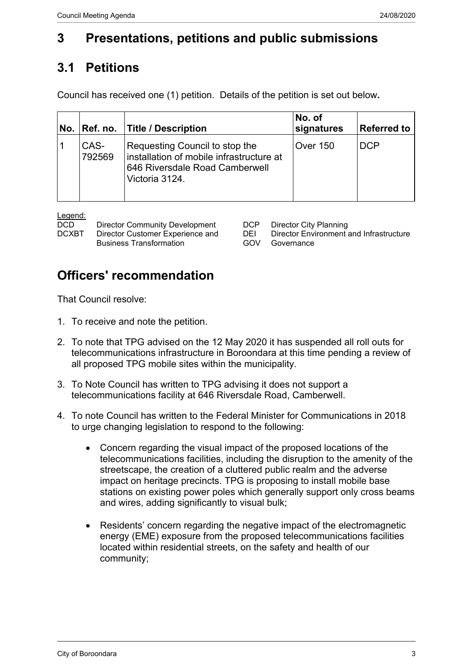## **3 Presentations, petitions and public submissions**

## **3.1 Petitions**

Council has received one (1) petition. Details of the petition is set out below**.**

| No. | Ref. no.       | <b>Title / Description</b>                                                                                                     | No. of<br>signatures | Referred to |
|-----|----------------|--------------------------------------------------------------------------------------------------------------------------------|----------------------|-------------|
|     | CAS-<br>792569 | Requesting Council to stop the<br>installation of mobile infrastructure at<br>646 Riversdale Road Camberwell<br>Victoria 3124. | <b>Over 150</b>      | <b>DCP</b>  |

Legend:

| <b>DCD</b> | <b>Director Community Development</b> |     | DCP Director City Planning                     |
|------------|---------------------------------------|-----|------------------------------------------------|
| DCXBT      | Director Customer Experience and      | DEL | <b>Director Environment and Infrastructure</b> |
|            | <b>Business Transformation</b>        |     | GOV Governance                                 |

| CP Director City Planning                  |
|--------------------------------------------|
| El Director Environment and Infrastructure |
| iOV Governance                             |

## **Officers' recommendation**

That Council resolve:

- 1. To receive and note the petition.
- 2. To note that TPG advised on the 12 May 2020 it has suspended all roll outs for telecommunications infrastructure in Boroondara at this time pending a review of all proposed TPG mobile sites within the municipality.
- 3. To Note Council has written to TPG advising it does not support a telecommunications facility at 646 Riversdale Road, Camberwell.
- 4. To note Council has written to the Federal Minister for Communications in 2018 to urge changing legislation to respond to the following:
	- Concern regarding the visual impact of the proposed locations of the telecommunications facilities, including the disruption to the amenity of the streetscape, the creation of a cluttered public realm and the adverse impact on heritage precincts. TPG is proposing to install mobile base stations on existing power poles which generally support only cross beams and wires, adding significantly to visual bulk;
	- Residents' concern regarding the negative impact of the electromagnetic energy (EME) exposure from the proposed telecommunications facilities located within residential streets, on the safety and health of our community;